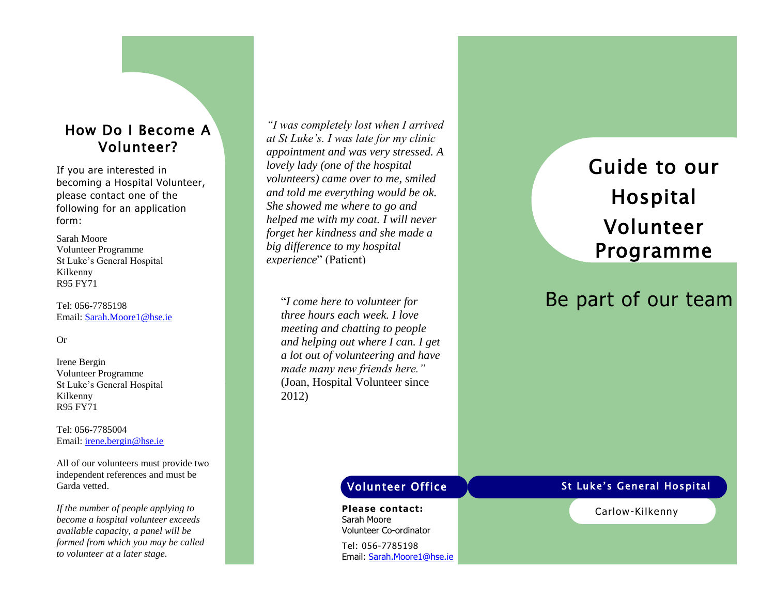## How Do I Become A Volunteer?

If you are interested in becoming a Hospital Volunteer, please contact one of the following for an application form:

Sarah Moore Volunteer Programme St Luke's General Hospital Kilkenny R95 FY71

Tel: 056 -7785198 Email: [Sarah.Moore1@hse.ie](mailto:Sarah.Moore1@hse.ie)

#### Or

Irene Bergin Volunteer Programme St Luke's General Hospital Kilkenny R95 FY71

Tel: 056 -7785004 Email: [irene.bergin@hse.ie](mailto:irene.bergin@hse.ie)

All of our volunteers must provide two independent references and must be Garda vetted.

*If the number of people applying to become a hospital volunteer exceeds available capacity, a panel will be formed from which you may be called to volunteer at a later stage.*

*"I was completely lost when I arrived at St Luke's. I was late for my clinic appointment and was very stressed. A lovely lady (one of the hospital volunteers) came over to me, smiled and told me everything would be ok. She showed me where to go and helped me with my coat. I will never forget her kindness and she made a big difference to my hospital experience*" (Patient)

"*I come here to volunteer for three hours each week. I love meeting and chatting to people and helping out where I can. I get a lot out of volunteering and have made many new friends here."* (Joan, Hospital Volunteer since 2012)

# Guide to our Hospital Volunteer Programme

# Be part of our team

**Please contact:** Sarah Moore Volunteer Co -ordinator

Tel: 056 -7785198 Email: [Sarah.Moore1@hse.ie](mailto:Sarah.Moore1@hse.ie)

## Volunteer Office The St Luke's General Hospital

Carlow -Kilkenny